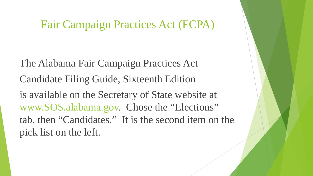The Alabama Fair Campaign Practices Act Candidate Filing Guide, Sixteenth Edition is available on the Secretary of State website at [www.SOS.alabama.gov.](http://www.sos.alabama.gov/) Chose the "Elections" tab, then "Candidates." It is the second item on the pick list on the left.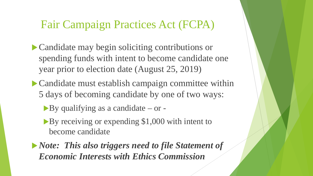- Candidate may begin soliciting contributions or spending funds with intent to become candidate one year prior to election date (August 25, 2019)
- Candidate must establish campaign committee within 5 days of becoming candidate by one of two ways:
	- By qualifying as a candidate or -
	- By receiving or expending \$1,000 with intent to become candidate
- *Note: This also triggers need to file Statement of Economic Interests with Ethics Commission*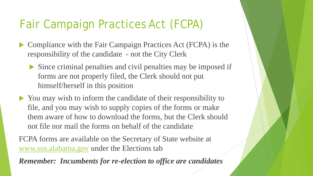- ▶ Compliance with the Fair Campaign Practices Act (FCPA) is the responsibility of the candidate - not the City Clerk
	- Since criminal penalties and civil penalties may be imposed if forms are not properly filed, the Clerk should not put himself/herself in this position
- You may wish to inform the candidate of their responsibility to file, and you may wish to supply copies of the forms or make them aware of how to download the forms, but the Clerk should not file nor mail the forms on behalf of the candidate

FCPA forms are available on the Secretary of State website at [www.sos.alabama.gov](http://www.sos.alabama.gov/) under the Elections tab

*Remember: Incumbents for re-election to office are candidates*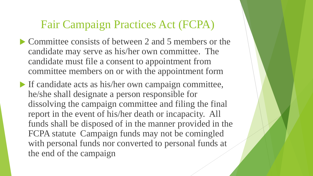- Committee consists of between 2 and 5 members or the candidate may serve as his/her own committee. The candidate must file a consent to appointment from committee members on or with the appointment form
- If candidate acts as his/her own campaign committee, he/she shall designate a person responsible for dissolving the campaign committee and filing the final report in the event of his/her death or incapacity. All funds shall be disposed of in the manner provided in the FCPA statute Campaign funds may not be comingled with personal funds nor converted to personal funds at the end of the campaign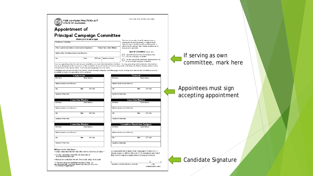|                                                      | FAIR CAMPAIGN PRACTICES ACT<br>STATE OF ALABAMA                                                                                                                                                                                                                                                                                                                                                                                                                                                                                                                                                 |                                      | THIS AREA FOR OFFICIAL USE ONLY                                                                                                                                                                                                                        |          |                        |
|------------------------------------------------------|-------------------------------------------------------------------------------------------------------------------------------------------------------------------------------------------------------------------------------------------------------------------------------------------------------------------------------------------------------------------------------------------------------------------------------------------------------------------------------------------------------------------------------------------------------------------------------------------------|--------------------------------------|--------------------------------------------------------------------------------------------------------------------------------------------------------------------------------------------------------------------------------------------------------|----------|------------------------|
|                                                      | Appointment of<br><b>Principal Campaign Committee</b><br>Please print in ink or type.                                                                                                                                                                                                                                                                                                                                                                                                                                                                                                           |                                      |                                                                                                                                                                                                                                                        |          |                        |
| Full Name of Candidate                               | Office Sought (include district or circuit number, if applicable)                                                                                                                                                                                                                                                                                                                                                                                                                                                                                                                               | Political Party / Ballot Affiliation | This form is due within five (5) calendar days of<br>reaching the threshold amount, or within five (5)<br>calendar days of qualifying with a political party, or<br>within five (5) calendar days of filing a petition as an<br>independent candidate. |          |                        |
|                                                      |                                                                                                                                                                                                                                                                                                                                                                                                                                                                                                                                                                                                 |                                      | Type of Committee (check one)                                                                                                                                                                                                                          |          |                        |
| Address of the Committee (street or post office box) |                                                                                                                                                                                                                                                                                                                                                                                                                                                                                                                                                                                                 |                                      | I appoint myself as the sole member of my                                                                                                                                                                                                              |          | If servir              |
| City                                                 | State<br>ZIP Code                                                                                                                                                                                                                                                                                                                                                                                                                                                                                                                                                                               | <b>Telephone Number</b>              | principal campaign committee.<br>I hereby appoint the individuals listed below to act<br>as my principal campaign committee.                                                                                                                           |          |                        |
|                                                      | If you are appointing others to serve as your committee, you must select at least two members. You may appoint up to five members. One member<br>should be designated as the chairperson of the committee. As econd membershould be designated as the treasurer. Please clearly print their names<br>and addresses in the spaces below. Each appointee must sign his or her name.<br>C andidates who choose to be the sole member of their principal campaign committee must choose a designee to dissolve the committee due to the<br>possibility of death or incapacitation of the candidate. |                                      |                                                                                                                                                                                                                                                        |          | commit                 |
|                                                      | Chairperson                                                                                                                                                                                                                                                                                                                                                                                                                                                                                                                                                                                     |                                      | Treasurer                                                                                                                                                                                                                                              |          |                        |
| Full Name                                            | <b>Email Address</b>                                                                                                                                                                                                                                                                                                                                                                                                                                                                                                                                                                            | Full Name                            | Email Address                                                                                                                                                                                                                                          |          |                        |
| Address (street or post office box)                  |                                                                                                                                                                                                                                                                                                                                                                                                                                                                                                                                                                                                 |                                      | Address (street or post office box)                                                                                                                                                                                                                    |          |                        |
| City                                                 | ZIP Code<br>State                                                                                                                                                                                                                                                                                                                                                                                                                                                                                                                                                                               | City                                 | State                                                                                                                                                                                                                                                  | ZIP Code | Appointed<br>accepting |
| Signature of Appointee                               |                                                                                                                                                                                                                                                                                                                                                                                                                                                                                                                                                                                                 | Signature of Appointee               |                                                                                                                                                                                                                                                        |          |                        |
|                                                      | <b>Committee Member</b>                                                                                                                                                                                                                                                                                                                                                                                                                                                                                                                                                                         |                                      | <b>Committee Member</b>                                                                                                                                                                                                                                |          |                        |
| Full Name                                            | <b>Email Address</b>                                                                                                                                                                                                                                                                                                                                                                                                                                                                                                                                                                            | Full Name                            | Email Address                                                                                                                                                                                                                                          |          |                        |
| Address (street or post office box)                  |                                                                                                                                                                                                                                                                                                                                                                                                                                                                                                                                                                                                 |                                      | Address (street or post office box)                                                                                                                                                                                                                    |          |                        |
| City                                                 | State<br>ZIP Code                                                                                                                                                                                                                                                                                                                                                                                                                                                                                                                                                                               | City                                 | State                                                                                                                                                                                                                                                  | ZIP Code |                        |
| Signature of Appointee                               |                                                                                                                                                                                                                                                                                                                                                                                                                                                                                                                                                                                                 | Signature of Appointee               |                                                                                                                                                                                                                                                        |          |                        |
|                                                      | <b>Committee Member</b>                                                                                                                                                                                                                                                                                                                                                                                                                                                                                                                                                                         |                                      | <b>Committee Dissolution Designee</b>                                                                                                                                                                                                                  |          |                        |
|                                                      | <b>Email Address</b>                                                                                                                                                                                                                                                                                                                                                                                                                                                                                                                                                                            | Full Name                            | <b>Email Address</b>                                                                                                                                                                                                                                   |          |                        |
| Full Name                                            |                                                                                                                                                                                                                                                                                                                                                                                                                                                                                                                                                                                                 |                                      |                                                                                                                                                                                                                                                        |          |                        |
| Address (street or post office box)                  |                                                                                                                                                                                                                                                                                                                                                                                                                                                                                                                                                                                                 |                                      | Address (street or post office box)                                                                                                                                                                                                                    |          |                        |

Signature of Appointee

Signature of elected official or candidate

As required by the Alabama Fair Campaign Practices Act, I

Signature of Appointee

Where to file this form ...

. County candidates must file electronically at<br>fcpa.alabamavotes.gov

- State candidates file with the Office of the Secretary of State.\*

. Municipal candidates file with the county judge of probate. \*This form does not establish electronic filing. To<br>file electronically, visit fcpa.alabamavotes.gov and click<br>"Committee Registration."

ng as own ttee, mark here

#### es must sign g appointment



FORM REVISED 6.19.2017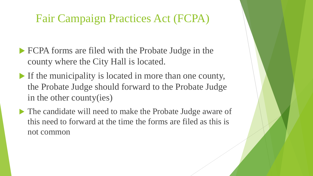- FCPA forms are filed with the Probate Judge in the county where the City Hall is located.
- If the municipality is located in more than one county, the Probate Judge should forward to the Probate Judge in the other county(ies)
- The candidate will need to make the Probate Judge aware of this need to forward at the time the forms are filed as this is not common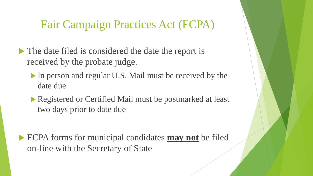- The date filed is considered the date the report is received by the probate judge.
	- In person and regular U.S. Mail must be received by the date due
	- Registered or Certified Mail must be postmarked at least two days prior to date due

 FCPA forms for municipal candidates **may not** be filed on-line with the Secretary of State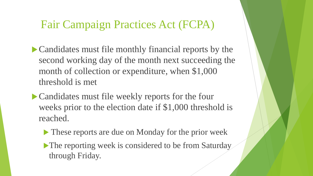- Candidates must file monthly financial reports by the second working day of the month next succeeding the month of collection or expenditure, when \$1,000 threshold is met
- Candidates must file weekly reports for the four weeks prior to the election date if \$1,000 threshold is reached.
	- These reports are due on Monday for the prior week
	- The reporting week is considered to be from Saturday through Friday.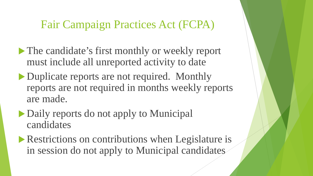- The candidate's first monthly or weekly report must include all unreported activity to date
- Duplicate reports are not required. Monthly reports are not required in months weekly reports are made.
- Daily reports do not apply to Municipal candidates
- **Restrictions on contributions when Legislature is** in session do not apply to Municipal candidates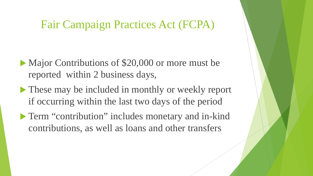- Major Contributions of \$20,000 or more must be reported within 2 business days,
- These may be included in monthly or weekly report if occurring within the last two days of the period
- **Term "contribution" includes monetary and in-kind** contributions, as well as loans and other transfers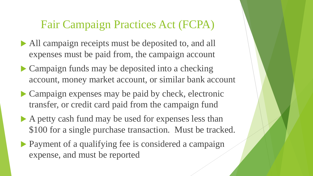- All campaign receipts must be deposited to, and all expenses must be paid from, the campaign account
- Campaign funds may be deposited into a checking account, money market account, or similar bank account
- Campaign expenses may be paid by check, electronic transfer, or credit card paid from the campaign fund
- A petty cash fund may be used for expenses less than \$100 for a single purchase transaction. Must be tracked.
- Payment of a qualifying fee is considered a campaign expense, and must be reported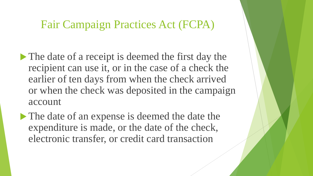- The date of a receipt is deemed the first day the recipient can use it, or in the case of a check the earlier of ten days from when the check arrived or when the check was deposited in the campaign account
- The date of an expense is deemed the date the expenditure is made, or the date of the check, electronic transfer, or credit card transaction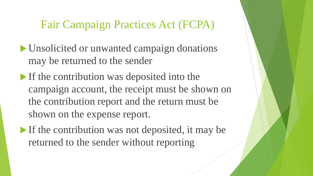- Unsolicited or unwanted campaign donations may be returned to the sender
- If the contribution was deposited into the campaign account, the receipt must be shown on the contribution report and the return must be shown on the expense report.
- If the contribution was not deposited, it may be returned to the sender without reporting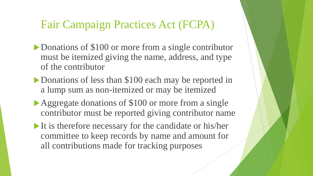- Donations of \$100 or more from a single contributor must be itemized giving the name, address, and type of the contributor
- Donations of less than \$100 each may be reported in a lump sum as non-itemized or may be itemized
- Aggregate donations of \$100 or more from a single contributor must be reported giving contributor name
- It is therefore necessary for the candidate or his/her committee to keep records by name and amount for all contributions made for tracking purposes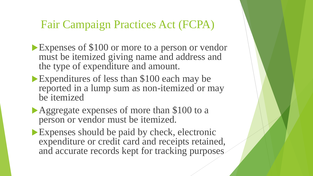- Expenses of \$100 or more to a person or vendor must be itemized giving name and address and the type of expenditure and amount.
- Expenditures of less than \$100 each may be reported in a lump sum as non-itemized or may be itemized
- Aggregate expenses of more than \$100 to a person or vendor must be itemized.
- Expenses should be paid by check, electronic expenditure or credit card and receipts retained, and accurate records kept for tracking purposes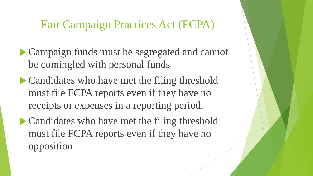- Campaign funds must be segregated and cannot be comingled with personal funds
- Candidates who have met the filing threshold must file FCPA reports even if they have no receipts or expenses in a reporting period.
- Candidates who have met the filing threshold must file FCPA reports even if they have no opposition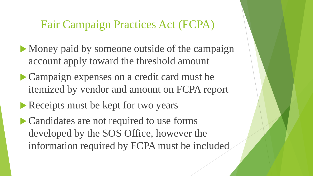- Money paid by someone outside of the campaign account apply toward the threshold amount
- Campaign expenses on a credit card must be itemized by vendor and amount on FCPA report
- Receipts must be kept for two years
- Candidates are not required to use forms developed by the SOS Office, however the information required by FCPA must be included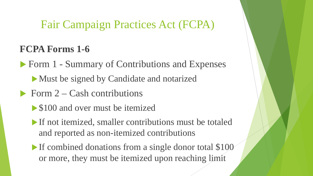# **FCPA Forms 1-6**

▶ Form 1 - Summary of Contributions and Expenses

- Must be signed by Candidate and notarized
- $\triangleright$  Form 2 Cash contributions
	- **S100 and over must be itemized**
	- If not itemized, smaller contributions must be totaled and reported as non-itemized contributions
	- If combined donations from a single donor total \$100 or more, they must be itemized upon reaching limit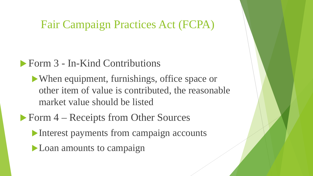#### Form 3 - In-Kind Contributions

When equipment, furnishings, office space or other item of value is contributed, the reasonable market value should be listed

- ▶ Form 4 Receipts from Other Sources
	- Interest payments from campaign accounts
	- **Loan amounts to campaign**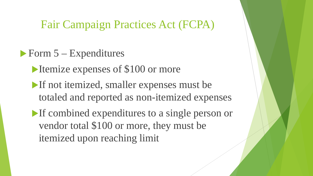- $\triangleright$  Form  $5$  Expenditures
	- Itemize expenses of \$100 or more
	- If not itemized, smaller expenses must be totaled and reported as non-itemized expenses
	- If combined expenditures to a single person or vendor total \$100 or more, they must be itemized upon reaching limit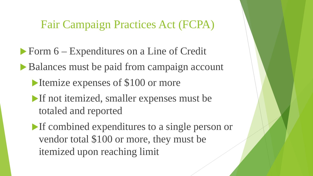- Form 6 Expenditures on a Line of Credit
- Balances must be paid from campaign account
	- Itemize expenses of \$100 or more
	- If not itemized, smaller expenses must be totaled and reported
	- If combined expenditures to a single person or vendor total \$100 or more, they must be itemized upon reaching limit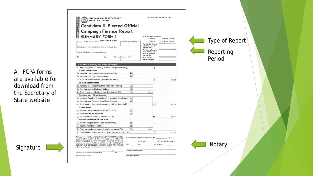

All FCPA forms are available for download from the Secretary of State website

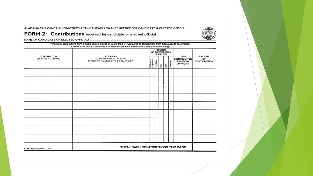ALABAMA FAIR CAMPAIGN PRACTICES ACT - CAMPAIGN FINANCE REPORT FOR CANDIDATE & ELECTED OFFICIAL



FORM 2: Contributions received by candidate or elected official

|                         | When total contributions from a single source exceed \$100.00, the FCPA requires all contributions from that source to be iternized.<br>DO NOT LIST in-kind contributions or loans on this form. Use Forms 3 and 4 for those listings. |                                          |                                          |          |          |                                                                |                                     |
|-------------------------|----------------------------------------------------------------------------------------------------------------------------------------------------------------------------------------------------------------------------------------|------------------------------------------|------------------------------------------|----------|----------|----------------------------------------------------------------|-------------------------------------|
| CONTRIBUTOR             | <b>ADDRESS</b>                                                                                                                                                                                                                         |                                          | SOURCE<br>OF CONTRIBUTION<br>(CHECK ONE) |          |          |                                                                | <b>AMOUNT</b><br>OF<br>CONTRIBUTION |
| (INCLUDE FULL NAME)     | (ADDRESS SHOULD INCLUDE<br>STREET OR P.O. BOX, CITY, STATE, AND ZIP)                                                                                                                                                                   | Business or<br>Corporation<br>Individual |                                          | RC<br>25 | Returned | DATE<br><b>CONTRIBUTION</b><br><b>RECEIVED</b><br>(moJdaylyr.) |                                     |
|                         |                                                                                                                                                                                                                                        |                                          |                                          |          |          |                                                                |                                     |
|                         |                                                                                                                                                                                                                                        |                                          |                                          |          |          |                                                                |                                     |
|                         |                                                                                                                                                                                                                                        |                                          |                                          |          |          |                                                                |                                     |
|                         |                                                                                                                                                                                                                                        |                                          |                                          |          |          |                                                                |                                     |
|                         |                                                                                                                                                                                                                                        |                                          |                                          |          |          |                                                                |                                     |
|                         |                                                                                                                                                                                                                                        |                                          |                                          |          |          |                                                                |                                     |
|                         |                                                                                                                                                                                                                                        |                                          |                                          |          |          |                                                                |                                     |
|                         |                                                                                                                                                                                                                                        |                                          |                                          |          |          |                                                                |                                     |
|                         |                                                                                                                                                                                                                                        |                                          |                                          |          |          |                                                                |                                     |
| FORM REVISED 10.27.2011 | TOTAL CASH CONTRIBUTIONS THIS PAGE                                                                                                                                                                                                     |                                          |                                          |          |          |                                                                |                                     |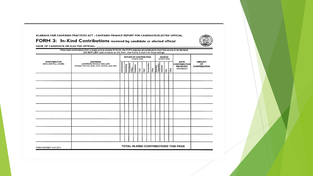ALABAMA FAIR CAMPAIGN PRACTICES ACT - CAMPAIGN FINANCE REPORT FOR CANDIDATE/ELECTED OFFICIAL

#### FORM 3: In-Kind Contributions received by candidate or elected official

|                                    | When total contributions from a single source exceed \$100.00, the FCPA requires all contributions from that source to be itemized.<br>DO NOT LIST cash or loans on this form. Use Forms 2 and 4 for those listings. |                                       |             |                                      |  |              |  |                |                                                 |                       |           |                                                                 |                                            |
|------------------------------------|----------------------------------------------------------------------------------------------------------------------------------------------------------------------------------------------------------------------|---------------------------------------|-------------|--------------------------------------|--|--------------|--|----------------|-------------------------------------------------|-----------------------|-----------|-----------------------------------------------------------------|--------------------------------------------|
|                                    |                                                                                                                                                                                                                      | NATURE OF CONTRIBUTION<br>(CHECK ONE) |             |                                      |  |              |  |                |                                                 | SOURCE<br>(CHECK ONE) |           |                                                                 |                                            |
| CONTRIBUTOR<br>(INCLUDE FULL NAME) | <b>ADDRESS</b><br>(ADDRESS SHOULD INCLUDE<br>STREET OR P.O. BOX, CITY, STATE, AND ZIP)                                                                                                                               | Administrative                        | Advertising | Consultants/<br>Polling<br>Equipment |  | Food<br>Rett |  | Transportation | Other<br>Business/<br>Corporation<br>Individual |                       | PAC<br>28 | DATE<br><b>CONTRIBUTION</b><br><b>RECEIVED</b><br>(mo./day/yr.) | <b>AMOUNT</b><br>OF<br><b>CONTRIBUTION</b> |
|                                    |                                                                                                                                                                                                                      |                                       |             |                                      |  |              |  |                |                                                 |                       |           |                                                                 |                                            |
|                                    |                                                                                                                                                                                                                      |                                       |             |                                      |  |              |  |                |                                                 |                       |           |                                                                 |                                            |
|                                    |                                                                                                                                                                                                                      |                                       |             |                                      |  |              |  |                |                                                 |                       |           |                                                                 |                                            |
|                                    |                                                                                                                                                                                                                      |                                       |             |                                      |  |              |  |                |                                                 |                       |           |                                                                 |                                            |
|                                    |                                                                                                                                                                                                                      |                                       |             |                                      |  |              |  |                |                                                 |                       |           |                                                                 |                                            |
|                                    |                                                                                                                                                                                                                      |                                       |             |                                      |  |              |  |                |                                                 |                       |           |                                                                 |                                            |
|                                    |                                                                                                                                                                                                                      |                                       |             |                                      |  |              |  |                |                                                 |                       |           |                                                                 |                                            |
|                                    |                                                                                                                                                                                                                      |                                       |             |                                      |  |              |  |                |                                                 |                       |           |                                                                 |                                            |
|                                    |                                                                                                                                                                                                                      |                                       |             |                                      |  |              |  |                |                                                 |                       |           |                                                                 |                                            |
| FORM REVISED 10.27.2011            |                                                                                                                                                                                                                      |                                       |             |                                      |  |              |  |                |                                                 |                       |           | TOTAL IN-KIND CONTRIBUTIONS THIS PAGE                           |                                            |

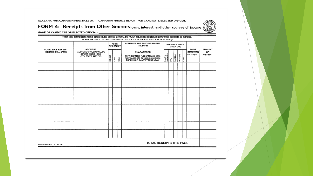ALABAMA FAIR CAMPAIGN PRACTICES ACT - CAMPAIGN FINANCE REPORT FOR CANDIDATE/ELECTED OFFICIAL



FORM 4: Receipts from Other Sources loans, interest, and other sources of income

NAME OF CANDIDATE OR ELECTED OFFICIAL:

|                                          | <b>ADDRESS</b>                                                          |          | FORM<br>OF RECEIPT |     | COMPLETE THIS BLOCK IF RECEIPT<br><b>IS A LOAN</b>                                                                            |                        |   | <b>RECEIPT SOURCE</b><br>(CHECK ONE) |                   |                                          | <b>AMOUNT</b>        |
|------------------------------------------|-------------------------------------------------------------------------|----------|--------------------|-----|-------------------------------------------------------------------------------------------------------------------------------|------------------------|---|--------------------------------------|-------------------|------------------------------------------|----------------------|
| SOURCE OF RECEIPT<br>(INCLUDE FULL NAME) | (ADDRESS SHOULD INCLUDE<br>STREET OR P.O. BOX.<br>CITY, STATE, AND ZIP) | interest | l sn               | der | <b>GUARANTORS</b><br>IFCPA REQUIRES FULL NAME AND COM-<br>PLETE ADDRESS OF INDIVIDUAL(S) EN-<br>DORSING OR GUARANTEEING LOANI | Lending<br>Institution | g | Individual                           | Business<br>Other | DATE<br><b>RECEIVED</b><br>(mo./day/yr.) | OF<br><b>RECEIPT</b> |
|                                          |                                                                         |          |                    |     |                                                                                                                               |                        |   |                                      |                   |                                          |                      |
|                                          |                                                                         |          |                    |     |                                                                                                                               |                        |   |                                      |                   |                                          |                      |
|                                          |                                                                         |          |                    |     |                                                                                                                               |                        |   |                                      |                   |                                          |                      |
|                                          |                                                                         |          |                    |     |                                                                                                                               |                        |   |                                      |                   |                                          |                      |
|                                          |                                                                         |          |                    |     |                                                                                                                               |                        |   |                                      |                   |                                          |                      |
|                                          |                                                                         |          |                    |     |                                                                                                                               |                        |   |                                      |                   |                                          |                      |
|                                          |                                                                         |          |                    |     |                                                                                                                               |                        |   |                                      |                   |                                          |                      |
|                                          |                                                                         |          |                    |     |                                                                                                                               |                        |   |                                      |                   |                                          |                      |
|                                          |                                                                         |          |                    |     |                                                                                                                               |                        |   |                                      |                   |                                          |                      |
| FORM REVISED 10.27.2011                  |                                                                         |          |                    |     | TOTAL RECEIPTS THIS PAGE                                                                                                      |                        |   |                                      |                   |                                          |                      |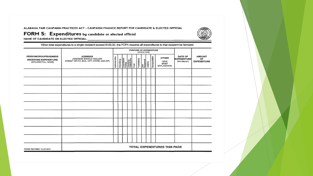ALABAMA FAIR CAMPAIGN PRACTICES ACT - CAMPAIGN FINANCE REPORT FOR CANDIDATE & ELECTED OFFICIAL



FORM 5: Expenditures by candidate or elected official

NAME OF CANDIDATE OR ELECTED OFFICIAL:

When total expenditures to a single recipient exceed \$100.00, the FCPA requires all expenditures to that recipient be itemized.

|                                                                              |                                                                                        |                |             |                                        |      |             | PURPOSE OF EXPENDITURE<br>(CHECK ONE) |                |                                                     |                                                |                                           |
|------------------------------------------------------------------------------|----------------------------------------------------------------------------------------|----------------|-------------|----------------------------------------|------|-------------|---------------------------------------|----------------|-----------------------------------------------------|------------------------------------------------|-------------------------------------------|
| PERSON/GROUP/BUSINESS<br><b>RECEIVING EXPENDITURE</b><br>(INCLUDE FULL NAME) | <b>ADDRESS</b><br>(ADDRESS SHOULD INCLUDE<br>STREET OR P.O. BOX, CITY, STATE, AND ZIP) | Administrative | Advertising | Consultarits/<br>Poling<br>Charisation | Food | Fundralsing | Loan<br>Repsyment<br>Lodging          | Transportation | <b>OTHER</b><br>GIVE<br><b>BRIEF</b><br>EXPLANATION | DATE OF<br><b>EXPENDITURE</b><br>(mo./day/yr.) | <b>AMOUNT</b><br>OF<br><b>EXPENDITURE</b> |
|                                                                              |                                                                                        |                |             |                                        |      |             |                                       |                |                                                     |                                                |                                           |
|                                                                              |                                                                                        |                |             |                                        |      |             |                                       |                |                                                     |                                                |                                           |
|                                                                              |                                                                                        |                |             |                                        |      |             |                                       |                |                                                     |                                                |                                           |
|                                                                              |                                                                                        |                |             |                                        |      |             |                                       |                |                                                     |                                                |                                           |
|                                                                              |                                                                                        |                |             |                                        |      |             |                                       |                |                                                     |                                                |                                           |
|                                                                              |                                                                                        |                |             |                                        |      |             |                                       |                |                                                     |                                                |                                           |
|                                                                              |                                                                                        |                |             |                                        |      |             |                                       |                |                                                     |                                                |                                           |
|                                                                              |                                                                                        |                |             |                                        |      |             |                                       |                |                                                     |                                                |                                           |
|                                                                              |                                                                                        |                |             |                                        |      |             |                                       |                |                                                     |                                                |                                           |
| FORM REVISED 10.27.2011                                                      |                                                                                        |                |             |                                        |      |             |                                       |                | TOTAL EXPENDITURES THIS PAGE                        |                                                |                                           |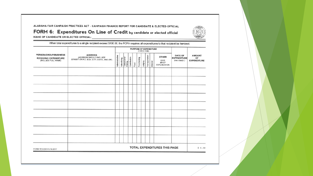ALABAMA FAIR CAMPAIGN PRACTICES ACT - CAMPAIGN FINANCE REPORT FOR CANDIDATE & ELECTED OFFICIAL



FORM 6: Expenditures On Line of Credit by candidate or elected official NAME OF CANDIDATE OR ELECTED OFFICIAL:

When total expenditures to a single recipient exceed \$100.00, the FCPA requires all expenditures to that recipient be itemized.

|                                                                              |                                                                                        |                |             |                                     |              |      |             | (CHECK ONE) | PURPOSE OF EXPENDITURE |          |                                                            |                                                |                                           |
|------------------------------------------------------------------------------|----------------------------------------------------------------------------------------|----------------|-------------|-------------------------------------|--------------|------|-------------|-------------|------------------------|----------|------------------------------------------------------------|------------------------------------------------|-------------------------------------------|
| PERSON/GROUP/BUSINESS<br><b>RECEIVING EXPENDITURE</b><br>(INCLUDE FULL NAME) | <b>ADDRESS</b><br>(ADDRESS SHOULD INCLUDE<br>STREET OR P.O. BOX, CITY, STATE, AND ZIP) | Administrative | Advertising | Consultants <sup>/</sup><br>Polling | Contribution | Food | Fundraising | Lodging     | Transportation         | Interest | <b>OTHER</b><br>GIVE<br><b>BRIEF</b><br><b>EXPLANATION</b> | DATE OF<br><b>EXPENDITURE</b><br>(mo./day/yr.) | <b>AMOUNT</b><br>OF<br><b>EXPENDITURE</b> |
|                                                                              |                                                                                        |                |             |                                     |              |      |             |             |                        |          |                                                            |                                                |                                           |
|                                                                              |                                                                                        |                |             |                                     |              |      |             |             |                        |          |                                                            |                                                |                                           |
|                                                                              |                                                                                        |                |             |                                     |              |      |             |             |                        |          |                                                            |                                                |                                           |
|                                                                              |                                                                                        |                |             |                                     |              |      |             |             |                        |          |                                                            |                                                |                                           |
|                                                                              |                                                                                        |                |             |                                     |              |      |             |             |                        |          |                                                            |                                                |                                           |
|                                                                              |                                                                                        |                |             |                                     |              |      |             |             |                        |          |                                                            |                                                |                                           |
|                                                                              |                                                                                        |                |             |                                     |              |      |             |             |                        |          |                                                            |                                                |                                           |
|                                                                              |                                                                                        |                |             |                                     |              |      |             |             |                        |          |                                                            |                                                |                                           |
|                                                                              |                                                                                        |                |             |                                     |              |      |             |             |                        |          |                                                            |                                                |                                           |
| FORM REVISED 5.19.2017                                                       |                                                                                        |                |             |                                     |              |      |             |             |                        |          | TOTAL EXPENDITURES THIS PAGE                               |                                                | \$0.00                                    |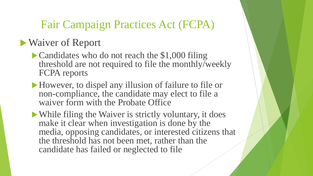# Waiver of Report

- Candidates who do not reach the \$1,000 filing threshold are not required to file the monthly/weekly FCPA reports
- However, to dispel any illusion of failure to file or non-compliance, the candidate may elect to file a waiver form with the Probate Office
- While filing the Waiver is strictly voluntary, it does make it clear when investigation is done by the media, opposing candidates, or interested citizens that the threshold has not been met, rather than the candidate has failed or neglected to file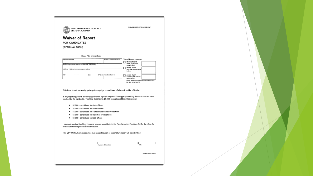

THIS AREA FOR OFFICIAL USE ONLY

#### **Waiver of Report**

#### **FOR CANDIDATES**

(OPTIONAL FORM)

|  | Please Print in Ink or Type. |  |  |
|--|------------------------------|--|--|
|--|------------------------------|--|--|

| <b>Name of Condidate</b>                       |                                                                   |                 | Political Parts/Ballot Afrikation | Type of Report (check one)                                                          |  |
|------------------------------------------------|-------------------------------------------------------------------|-----------------|-----------------------------------|-------------------------------------------------------------------------------------|--|
|                                                |                                                                   |                 |                                   | <b>Monthly Report</b><br>Month in which the                                         |  |
|                                                | Office Smapht (include district or circuit number, if applicable) |                 |                                   | report is filed.                                                                    |  |
| Address [7] Check box if reporting new address |                                                                   |                 |                                   | Weekly Report                                                                       |  |
|                                                |                                                                   |                 |                                   | Date that weekly report<br>is due.                                                  |  |
| City                                           | Stole                                                             | <b>ZtP Code</b> | Telephone Number                  | Annual Report                                                                       |  |
|                                                |                                                                   |                 |                                   | Calendar year covered<br>by this report.                                            |  |
|                                                |                                                                   |                 |                                   | Weder This long is not for use by elected afficials in<br>has of an annual report.) |  |

This form is not for use by principal campaign committees of elected, public officials.

In any reporting period, no campaign finance report is required if the appropriate filing threshold has not been reached by the candidate. The filing threshold is \$1,000, regardless of the office sought:

- > \$1,000 candidates for state offices
- S1,000 candidates for State Senate
- > \$1,000 candidates for State House of Representatives
- > \$1,000 candidates for district or circuit offices
- ▶ \$1,000 candidates for local offices

I have not reached the filing threshold amount as set forth in the Fair Campaign Practices Act for the office for which I am seeking nomination or election.

This OPTIONAL form gives notice that no contribution or expenditure report will be submitted.

| Signature of Candidate |  |
|------------------------|--|

FORM REVISED 1.14.2015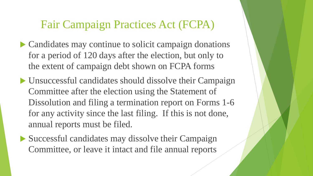- Candidates may continue to solicit campaign donations for a period of 120 days after the election, but only to the extent of campaign debt shown on FCPA forms
- Unsuccessful candidates should dissolve their Campaign Committee after the election using the Statement of Dissolution and filing a termination report on Forms 1-6 for any activity since the last filing. If this is not done, annual reports must be filed.
- Successful candidates may dissolve their Campaign Committee, or leave it intact and file annual reports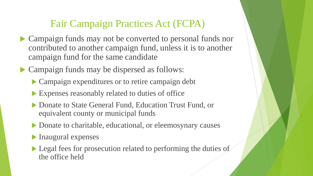- Campaign funds may not be converted to personal funds nor contributed to another campaign fund, unless it is to another campaign fund for the same candidate
- Campaign funds may be dispersed as follows:
	- Campaign expenditures or to retire campaign debt
	- Expenses reasonably related to duties of office
	- ▶ Donate to State General Fund, Education Trust Fund, or equivalent county or municipal funds
	- ▶ Donate to charitable, educational, or eleemosynary causes
	- Inaugural expenses
	- Legal fees for prosecution related to performing the duties of the office held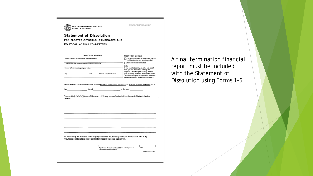

THIS AREA FOR CIFICIAL USE ONLY

**Statement of Dissolution** FOR ELECTED OFFICIALS, CANDIDATES AND POLITICAL ACTION COMMITTEES

|                                               | Please Print in Ink or Type.                                              | Report Status (check onc)                                                                                                                      |
|-----------------------------------------------|---------------------------------------------------------------------------|------------------------------------------------------------------------------------------------------------------------------------------------|
|                                               | Narvo of Condidate or Elected Official, or Political Controlline          | No report required because I have had no<br>activity since the last reporting period                                                           |
|                                               | Office Sought or Hold (isoludo district or circuit number, if applicable) | Termination report attached                                                                                                                    |
|                                               |                                                                           | Note:                                                                                                                                          |
| Address   Check box if reporting near address |                                                                           | If you have had activity since the last report<br>filed, you are responsible for filing the<br>requisite Annual Report covering the last       |
| Cay                                           | ZIP Code   Telephone Number<br><b>State</b>                               | year of activity. However, the submission of a<br>Termination Report along with the Statement<br>of Dissolution will satisfy this requirement. |

This statement dissolves the above-named Principal Campaign Committee or Political Action Committee as of

\_ day of \_\_  $\_$  in the year  $\_$ 

Pursuant to §17-5-7(a) [Code of Alabama, 1975], any excess funds shall be disposed of in the following manner:

As required by the Alabama Fair Campaign Practices Act. I hereby swear, or affirm, to the best of my knowledge and belief that this Statement of Dissolution is true and correct.

> Signature of Candidate or Elected Official, or Chairpeton or  $\overline{B}$ Treasurer of Political Committee

FORM REVISED 9.2.2011

A final termination financial report must be included with the Statement of **Dissolution using Forms 1-6**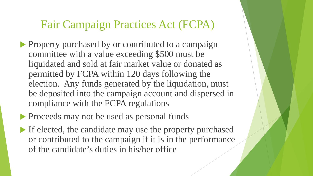- **Property purchased by or contributed to a campaign** committee with a value exceeding \$500 must be liquidated and sold at fair market value or donated as permitted by FCPA within 120 days following the election. Any funds generated by the liquidation, must be deposited into the campaign account and dispersed in compliance with the FCPA regulations
- **Proceeds may not be used as personal funds**
- If elected, the candidate may use the property purchased or contributed to the campaign if it is in the performance of the candidate's duties in his/her office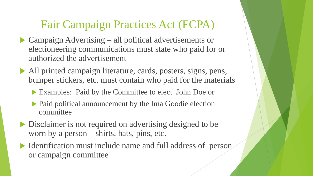- ▶ Campaign Advertising all political advertisements or electioneering communications must state who paid for or authorized the advertisement
- All printed campaign literature, cards, posters, signs, pens, bumper stickers, etc. must contain who paid for the materials
	- Examples: Paid by the Committee to elect John Doe or
	- Paid political announcement by the Ima Goodie election committee
- Disclaimer is not required on advertising designed to be worn by a person – shirts, hats, pins, etc.
- Identification must include name and full address of person or campaign committee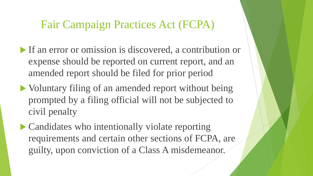- If an error or omission is discovered, a contribution or expense should be reported on current report, and an amended report should be filed for prior period
- Voluntary filing of an amended report without being prompted by a filing official will not be subjected to civil penalty
- Candidates who intentionally violate reporting requirements and certain other sections of FCPA, are guilty, upon conviction of a Class A misdemeanor.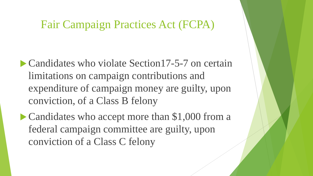- Candidates who violate Section 17-5-7 on certain limitations on campaign contributions and expenditure of campaign money are guilty, upon conviction, of a Class B felony
- Candidates who accept more than \$1,000 from a federal campaign committee are guilty, upon conviction of a Class C felony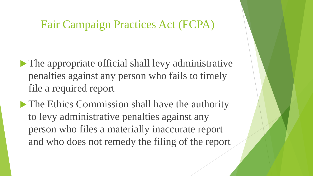- The appropriate official shall levy administrative penalties against any person who fails to timely file a required report
- The Ethics Commission shall have the authority to levy administrative penalties against any person who files a materially inaccurate report and who does not remedy the filing of the report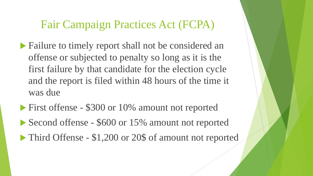- Failure to timely report shall not be considered an offense or subjected to penalty so long as it is the first failure by that candidate for the election cycle and the report is filed within 48 hours of the time it was due
- **First offense \$300 or 10% amount not reported** ▶ Second offense - \$600 or 15% amount not reported • Third Offense - \$1,200 or 20\$ of amount not reported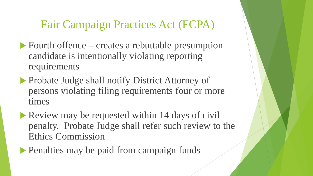- ▶ Fourth offence creates a rebuttable presumption candidate is intentionally violating reporting requirements
- ▶ Probate Judge shall notify District Attorney of persons violating filing requirements four or more times
- Review may be requested within 14 days of civil penalty. Probate Judge shall refer such review to the Ethics Commission
- Penalties may be paid from campaign funds